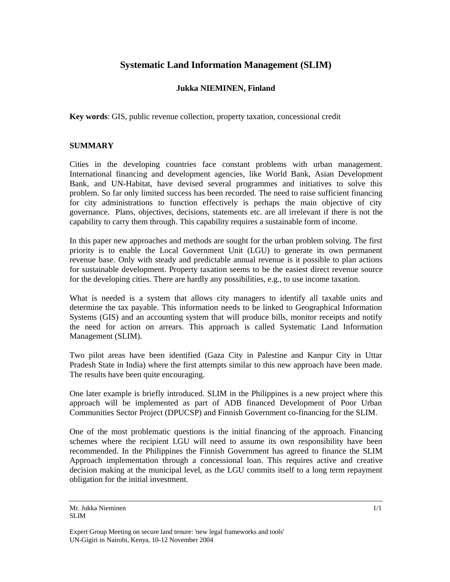# **Systematic Land Information Management (SLIM)**

### **Jukka NIEMINEN, Finland**

**Key words**: GIS, public revenue collection, property taxation, concessional credit

### **SUMMARY**

Cities in the developing countries face constant problems with urban management. International financing and development agencies, like World Bank, Asian Development Bank, and UN-Habitat, have devised several programmes and initiatives to solve this problem. So far only limited success has been recorded. The need to raise sufficient financing for city administrations to function effectively is perhaps the main objective of city governance. Plans, objectives, decisions, statements etc. are all irrelevant if there is not the capability to carry them through. This capability requires a sustainable form of income.

In this paper new approaches and methods are sought for the urban problem solving. The first priority is to enable the Local Government Unit (LGU) to generate its own permanent revenue base. Only with steady and predictable annual revenue is it possible to plan actions for sustainable development. Property taxation seems to be the easiest direct revenue source for the developing cities. There are hardly any possibilities, e.g., to use income taxation.

What is needed is a system that allows city managers to identify all taxable units and determine the tax payable. This information needs to be linked to Geographical Information Systems (GIS) and an accounting system that will produce bills, monitor receipts and notify the need for action on arrears. This approach is called Systematic Land Information Management (SLIM).

Two pilot areas have been identified (Gaza City in Palestine and Kanpur City in Uttar Pradesh State in India) where the first attempts similar to this new approach have been made. The results have been quite encouraging.

One later example is briefly introduced. SLIM in the Philippines is a new project where this approach will be implemented as part of ADB financed Development of Poor Urban Communities Sector Project (DPUCSP) and Finnish Government co-financing for the SLIM.

One of the most problematic questions is the initial financing of the approach. Financing schemes where the recipient LGU will need to assume its own responsibility have been recommended. In the Philippines the Finnish Government has agreed to finance the SLIM Approach implementation through a concessional loan. This requires active and creative decision making at the municipal level, as the LGU commits itself to a long term repayment obligation for the initial investment.

Mr. Jukka Nieminen SI IM

Expert Group Meeting on secure land tenure: 'new legal frameworks and tools' UN-Gigiri in Nairobi, Kenya, 10-12 November 2004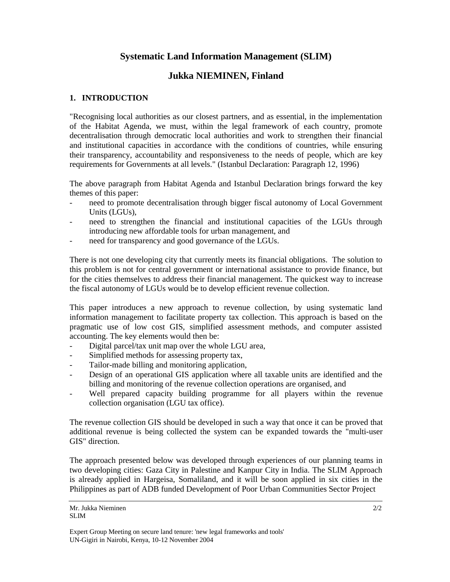# **Systematic Land Information Management (SLIM)**

# **Jukka NIEMINEN, Finland**

## **1. INTRODUCTION**

"Recognising local authorities as our closest partners, and as essential, in the implementation of the Habitat Agenda, we must, within the legal framework of each country, promote decentralisation through democratic local authorities and work to strengthen their financial and institutional capacities in accordance with the conditions of countries, while ensuring their transparency, accountability and responsiveness to the needs of people, which are key requirements for Governments at all levels." (Istanbul Declaration: Paragraph 12, 1996)

The above paragraph from Habitat Agenda and Istanbul Declaration brings forward the key themes of this paper:

- need to promote decentralisation through bigger fiscal autonomy of Local Government Units (LGUs),
- need to strengthen the financial and institutional capacities of the LGUs through introducing new affordable tools for urban management, and
- need for transparency and good governance of the LGUs.

There is not one developing city that currently meets its financial obligations. The solution to this problem is not for central government or international assistance to provide finance, but for the cities themselves to address their financial management. The quickest way to increase the fiscal autonomy of LGUs would be to develop efficient revenue collection.

This paper introduces a new approach to revenue collection, by using systematic land information management to facilitate property tax collection. This approach is based on the pragmatic use of low cost GIS, simplified assessment methods, and computer assisted accounting. The key elements would then be:

- Digital parcel/tax unit map over the whole LGU area,
- Simplified methods for assessing property tax,
- Tailor-made billing and monitoring application,
- Design of an operational GIS application where all taxable units are identified and the billing and monitoring of the revenue collection operations are organised, and
- Well prepared capacity building programme for all players within the revenue collection organisation (LGU tax office).

The revenue collection GIS should be developed in such a way that once it can be proved that additional revenue is being collected the system can be expanded towards the "multi-user GIS" direction.

The approach presented below was developed through experiences of our planning teams in two developing cities: Gaza City in Palestine and Kanpur City in India. The SLIM Approach is already applied in Hargeisa, Somaliland, and it will be soon applied in six cities in the Philippines as part of ADB funded Development of Poor Urban Communities Sector Project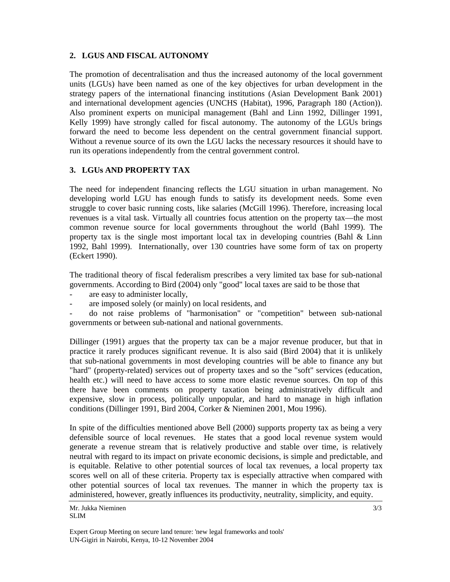## **2. LGUS AND FISCAL AUTONOMY**

The promotion of decentralisation and thus the increased autonomy of the local government units (LGUs) have been named as one of the key objectives for urban development in the strategy papers of the international financing institutions (Asian Development Bank 2001) and international development agencies (UNCHS (Habitat), 1996, Paragraph 180 (Action)). Also prominent experts on municipal management (Bahl and Linn 1992, Dillinger 1991, Kelly 1999) have strongly called for fiscal autonomy. The autonomy of the LGUs brings forward the need to become less dependent on the central government financial support. Without a revenue source of its own the LGU lacks the necessary resources it should have to run its operations independently from the central government control.

## **3. LGUs AND PROPERTY TAX**

The need for independent financing reflects the LGU situation in urban management. No developing world LGU has enough funds to satisfy its development needs. Some even struggle to cover basic running costs, like salaries (McGill 1996). Therefore, increasing local revenues is a vital task. Virtually all countries focus attention on the property tax—the most common revenue source for local governments throughout the world (Bahl 1999). The property tax is the single most important local tax in developing countries (Bahl  $\&$  Linn 1992, Bahl 1999). Internationally, over 130 countries have some form of tax on property (Eckert 1990).

The traditional theory of fiscal federalism prescribes a very limited tax base for sub-national governments. According to Bird (2004) only "good" local taxes are said to be those that

- are easy to administer locally,
- are imposed solely (or mainly) on local residents, and

- do not raise problems of "harmonisation" or "competition" between sub-national governments or between sub-national and national governments.

Dillinger (1991) argues that the property tax can be a major revenue producer, but that in practice it rarely produces significant revenue. It is also said (Bird 2004) that it is unlikely that sub-national governments in most developing countries will be able to finance any but "hard" (property-related) services out of property taxes and so the "soft" services (education, health etc.) will need to have access to some more elastic revenue sources. On top of this there have been comments on property taxation being administratively difficult and expensive, slow in process, politically unpopular, and hard to manage in high inflation conditions (Dillinger 1991, Bird 2004, Corker & Nieminen 2001, Mou 1996).

In spite of the difficulties mentioned above Bell (2000) supports property tax as being a very defensible source of local revenues. He states that a good local revenue system would generate a revenue stream that is relatively productive and stable over time, is relatively neutral with regard to its impact on private economic decisions, is simple and predictable, and is equitable. Relative to other potential sources of local tax revenues, a local property tax scores well on all of these criteria. Property tax is especially attractive when compared with other potential sources of local tax revenues. The manner in which the property tax is administered, however, greatly influences its productivity, neutrality, simplicity, and equity.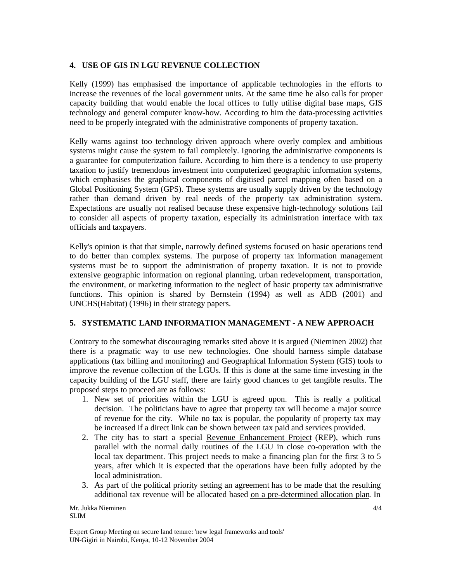## **4. USE OF GIS IN LGU REVENUE COLLECTION**

Kelly (1999) has emphasised the importance of applicable technologies in the efforts to increase the revenues of the local government units. At the same time he also calls for proper capacity building that would enable the local offices to fully utilise digital base maps, GIS technology and general computer know-how. According to him the data-processing activities need to be properly integrated with the administrative components of property taxation.

Kelly warns against too technology driven approach where overly complex and ambitious systems might cause the system to fail completely. Ignoring the administrative components is a guarantee for computerization failure. According to him there is a tendency to use property taxation to justify tremendous investment into computerized geographic information systems, which emphasises the graphical components of digitised parcel mapping often based on a Global Positioning System (GPS). These systems are usually supply driven by the technology rather than demand driven by real needs of the property tax administration system. Expectations are usually not realised because these expensive high-technology solutions fail to consider all aspects of property taxation, especially its administration interface with tax officials and taxpayers.

Kelly's opinion is that that simple, narrowly defined systems focused on basic operations tend to do better than complex systems. The purpose of property tax information management systems must be to support the administration of property taxation. It is not to provide extensive geographic information on regional planning, urban redevelopment, transportation, the environment, or marketing information to the neglect of basic property tax administrative functions. This opinion is shared by Bernstein (1994) as well as ADB (2001) and UNCHS(Habitat) (1996) in their strategy papers.

# **5. SYSTEMATIC LAND INFORMATION MANAGEMENT - A NEW APPROACH**

Contrary to the somewhat discouraging remarks sited above it is argued (Nieminen 2002) that there is a pragmatic way to use new technologies. One should harness simple database applications (tax billing and monitoring) and Geographical Information System (GIS) tools to improve the revenue collection of the LGUs. If this is done at the same time investing in the capacity building of the LGU staff, there are fairly good chances to get tangible results. The proposed steps to proceed are as follows:

- 1. New set of priorities within the LGU is agreed upon. This is really a political decision. The politicians have to agree that property tax will become a major source of revenue for the city. While no tax is popular, the popularity of property tax may be increased if a direct link can be shown between tax paid and services provided.
- 2. The city has to start a special Revenue Enhancement Project (REP), which runs parallel with the normal daily routines of the LGU in close co-operation with the local tax department. This project needs to make a financing plan for the first 3 to 5 years, after which it is expected that the operations have been fully adopted by the local administration.
- 3. As part of the political priority setting an agreement has to be made that the resulting additional tax revenue will be allocated based on a pre-determined allocation plan. In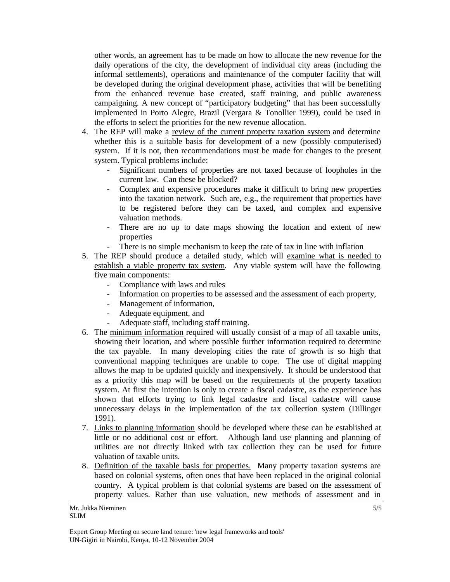other words, an agreement has to be made on how to allocate the new revenue for the daily operations of the city, the development of individual city areas (including the informal settlements), operations and maintenance of the computer facility that will be developed during the original development phase, activities that will be benefiting from the enhanced revenue base created, staff training, and public awareness campaigning. A new concept of "participatory budgeting" that has been successfully implemented in Porto Alegre, Brazil (Vergara & Tonollier 1999), could be used in the efforts to select the priorities for the new revenue allocation.

- 4. The REP will make a review of the current property taxation system and determine whether this is a suitable basis for development of a new (possibly computerised) system. If it is not, then recommendations must be made for changes to the present system. Typical problems include:
	- Significant numbers of properties are not taxed because of loopholes in the current law. Can these be blocked?
	- Complex and expensive procedures make it difficult to bring new properties into the taxation network. Such are, e.g., the requirement that properties have to be registered before they can be taxed, and complex and expensive valuation methods.
	- There are no up to date maps showing the location and extent of new properties
	- There is no simple mechanism to keep the rate of tax in line with inflation
- 5. The REP should produce a detailed study, which will examine what is needed to establish a viable property tax system. Any viable system will have the following five main components:
	- Compliance with laws and rules
	- Information on properties to be assessed and the assessment of each property,
	- Management of information,
	- Adequate equipment, and
	- Adequate staff, including staff training.
- 6. The minimum information required will usually consist of a map of all taxable units, showing their location, and where possible further information required to determine the tax payable. In many developing cities the rate of growth is so high that conventional mapping techniques are unable to cope. The use of digital mapping allows the map to be updated quickly and inexpensively. It should be understood that as a priority this map will be based on the requirements of the property taxation system. At first the intention is only to create a fiscal cadastre, as the experience has shown that efforts trying to link legal cadastre and fiscal cadastre will cause unnecessary delays in the implementation of the tax collection system (Dillinger 1991).
- 7. Links to planning information should be developed where these can be established at little or no additional cost or effort. Although land use planning and planning of utilities are not directly linked with tax collection they can be used for future valuation of taxable units.
- 8. Definition of the taxable basis for properties. Many property taxation systems are based on colonial systems, often ones that have been replaced in the original colonial country. A typical problem is that colonial systems are based on the assessment of property values. Rather than use valuation, new methods of assessment and in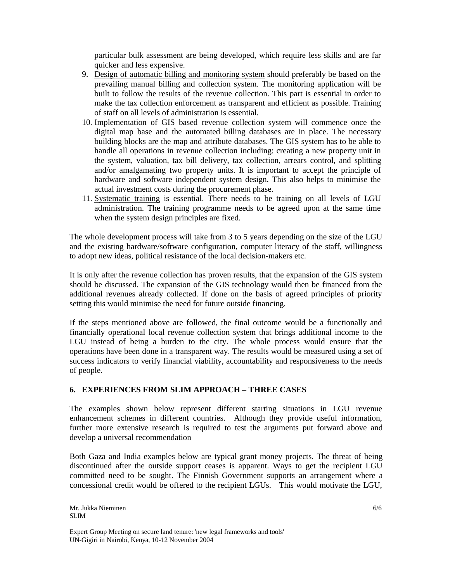particular bulk assessment are being developed, which require less skills and are far quicker and less expensive.

- 9. Design of automatic billing and monitoring system should preferably be based on the prevailing manual billing and collection system. The monitoring application will be built to follow the results of the revenue collection. This part is essential in order to make the tax collection enforcement as transparent and efficient as possible. Training of staff on all levels of administration is essential.
- 10. Implementation of GIS based revenue collection system will commence once the digital map base and the automated billing databases are in place. The necessary building blocks are the map and attribute databases. The GIS system has to be able to handle all operations in revenue collection including: creating a new property unit in the system, valuation, tax bill delivery, tax collection, arrears control, and splitting and/or amalgamating two property units. It is important to accept the principle of hardware and software independent system design. This also helps to minimise the actual investment costs during the procurement phase.
- 11. Systematic training is essential. There needs to be training on all levels of LGU administration. The training programme needs to be agreed upon at the same time when the system design principles are fixed.

The whole development process will take from 3 to 5 years depending on the size of the LGU and the existing hardware/software configuration, computer literacy of the staff, willingness to adopt new ideas, political resistance of the local decision-makers etc.

It is only after the revenue collection has proven results, that the expansion of the GIS system should be discussed. The expansion of the GIS technology would then be financed from the additional revenues already collected. If done on the basis of agreed principles of priority setting this would minimise the need for future outside financing.

If the steps mentioned above are followed, the final outcome would be a functionally and financially operational local revenue collection system that brings additional income to the LGU instead of being a burden to the city. The whole process would ensure that the operations have been done in a transparent way. The results would be measured using a set of success indicators to verify financial viability, accountability and responsiveness to the needs of people.

# **6. EXPERIENCES FROM SLIM APPROACH – THREE CASES**

The examples shown below represent different starting situations in LGU revenue enhancement schemes in different countries. Although they provide useful information, further more extensive research is required to test the arguments put forward above and develop a universal recommendation

Both Gaza and India examples below are typical grant money projects. The threat of being discontinued after the outside support ceases is apparent. Ways to get the recipient LGU committed need to be sought. The Finnish Government supports an arrangement where a concessional credit would be offered to the recipient LGUs. This would motivate the LGU,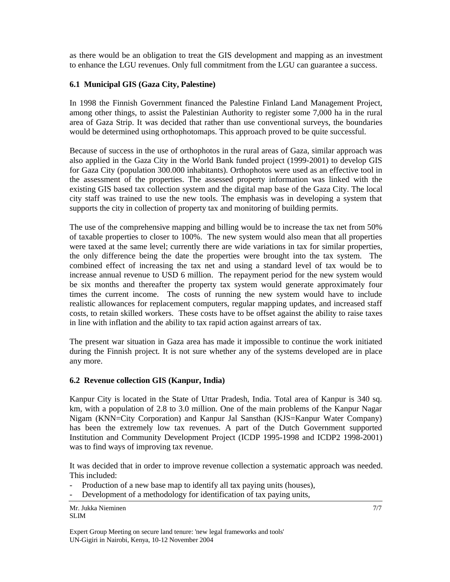as there would be an obligation to treat the GIS development and mapping as an investment to enhance the LGU revenues. Only full commitment from the LGU can guarantee a success.

### **6.1 Municipal GIS (Gaza City, Palestine)**

In 1998 the Finnish Government financed the Palestine Finland Land Management Project, among other things, to assist the Palestinian Authority to register some 7,000 ha in the rural area of Gaza Strip. It was decided that rather than use conventional surveys, the boundaries would be determined using orthophotomaps. This approach proved to be quite successful.

Because of success in the use of orthophotos in the rural areas of Gaza, similar approach was also applied in the Gaza City in the World Bank funded project (1999-2001) to develop GIS for Gaza City (population 300.000 inhabitants). Orthophotos were used as an effective tool in the assessment of the properties. The assessed property information was linked with the existing GIS based tax collection system and the digital map base of the Gaza City. The local city staff was trained to use the new tools. The emphasis was in developing a system that supports the city in collection of property tax and monitoring of building permits.

The use of the comprehensive mapping and billing would be to increase the tax net from 50% of taxable properties to closer to 100%. The new system would also mean that all properties were taxed at the same level; currently there are wide variations in tax for similar properties, the only difference being the date the properties were brought into the tax system. The combined effect of increasing the tax net and using a standard level of tax would be to increase annual revenue to USD 6 million. The repayment period for the new system would be six months and thereafter the property tax system would generate approximately four times the current income. The costs of running the new system would have to include realistic allowances for replacement computers, regular mapping updates, and increased staff costs, to retain skilled workers. These costs have to be offset against the ability to raise taxes in line with inflation and the ability to tax rapid action against arrears of tax.

The present war situation in Gaza area has made it impossible to continue the work initiated during the Finnish project. It is not sure whether any of the systems developed are in place any more.

#### **6.2 Revenue collection GIS (Kanpur, India)**

Kanpur City is located in the State of Uttar Pradesh, India. Total area of Kanpur is 340 sq. km, with a population of 2.8 to 3.0 million. One of the main problems of the Kanpur Nagar Nigam (KNN=City Corporation) and Kanpur Jal Sansthan (KJS=Kanpur Water Company) has been the extremely low tax revenues. A part of the Dutch Government supported Institution and Community Development Project (ICDP 1995-1998 and ICDP2 1998-2001) was to find ways of improving tax revenue.

It was decided that in order to improve revenue collection a systematic approach was needed. This included:

- Production of a new base map to identify all tax paying units (houses),
- Development of a methodology for identification of tax paying units,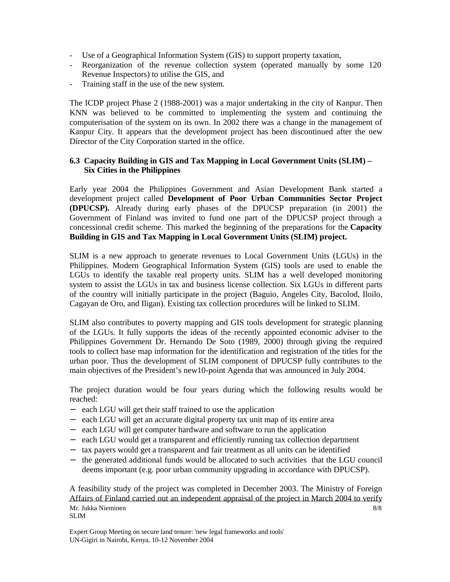- Use of a Geographical Information System (GIS) to support property taxation,
- Reorganization of the revenue collection system (operated manually by some 120 Revenue Inspectors) to utilise the GIS, and
- Training staff in the use of the new system.

The ICDP project Phase 2 (1988-2001) was a major undertaking in the city of Kanpur. Then KNN was believed to be committed to implementing the system and continuing the computerisation of the system on its own. In 2002 there was a change in the management of Kanpur City. It appears that the development project has been discontinued after the new Director of the City Corporation started in the office.

### **6.3 Capacity Building in GIS and Tax Mapping in Local Government Units (SLIM) – Six Cities in the Philippines**

Early year 2004 the Philippines Government and Asian Development Bank started a development project called **Development of Poor Urban Communities Sector Project (DPUCSP).** Already during early phases of the DPUCSP preparation (in 2001) the Government of Finland was invited to fund one part of the DPUCSP project through a concessional credit scheme. This marked the beginning of the preparations for the **Capacity Building in GIS and Tax Mapping in Local Government Units (SLIM) project.** 

SLIM is a new approach to generate revenues to Local Government Units (LGUs) in the Philippines. Modern Geographical Information System (GIS) tools are used to enable the LGUs to identify the taxable real property units. SLIM has a well developed monitoring system to assist the LGUs in tax and business license collection. Six LGUs in different parts of the country will initially participate in the project (Baguio, Angeles City, Bacolod, Iloilo, Cagayan de Oro, and Iligan). Existing tax collection procedures will be linked to SLIM.

SLIM also contributes to poverty mapping and GIS tools development for strategic planning of the LGUs. It fully supports the ideas of the recently appointed economic adviser to the Philippines Government Dr. Hernando De Soto (1989, 2000) through giving the required tools to collect base map information for the identification and registration of the titles for the urban poor. Thus the development of SLIM component of DPUCSP fully contributes to the main objectives of the President's new10-point Agenda that was announced in July 2004.

The project duration would be four years during which the following results would be reached:

- − each LGU will get their staff trained to use the application
- − each LGU will get an accurate digital property tax unit map of its entire area
- − each LGU will get computer hardware and software to run the application
- − each LGU would get a transparent and efficiently running tax collection department
- − tax payers would get a transparent and fair treatment as all units can be identified
- − the generated additional funds would be allocated to such activities that the LGU council deems important (e.g. poor urban community upgrading in accordance with DPUCSP).

Mr. Jukka Nieminen SLIM 8/8 A feasibility study of the project was completed in December 2003. The Ministry of Foreign Affairs of Finland carried out an independent appraisal of the project in March 2004 to verify

Expert Group Meeting on secure land tenure: 'new legal frameworks and tools' UN-Gigiri in Nairobi, Kenya, 10-12 November 2004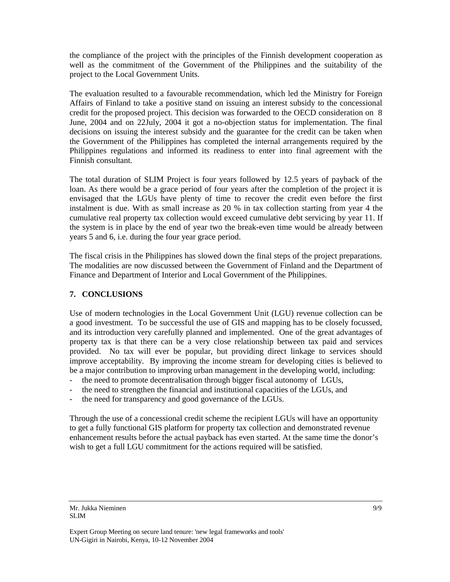the compliance of the project with the principles of the Finnish development cooperation as well as the commitment of the Government of the Philippines and the suitability of the project to the Local Government Units.

The evaluation resulted to a favourable recommendation, which led the Ministry for Foreign Affairs of Finland to take a positive stand on issuing an interest subsidy to the concessional credit for the proposed project. This decision was forwarded to the OECD consideration on 8 June, 2004 and on 22July, 2004 it got a no-objection status for implementation. The final decisions on issuing the interest subsidy and the guarantee for the credit can be taken when the Government of the Philippines has completed the internal arrangements required by the Philippines regulations and informed its readiness to enter into final agreement with the Finnish consultant.

The total duration of SLIM Project is four years followed by 12.5 years of payback of the loan. As there would be a grace period of four years after the completion of the project it is envisaged that the LGUs have plenty of time to recover the credit even before the first instalment is due. With as small increase as 20 % in tax collection starting from year 4 the cumulative real property tax collection would exceed cumulative debt servicing by year 11. If the system is in place by the end of year two the break-even time would be already between years 5 and 6, i.e. during the four year grace period.

The fiscal crisis in the Philippines has slowed down the final steps of the project preparations. The modalities are now discussed between the Government of Finland and the Department of Finance and Department of Interior and Local Government of the Philippines.

### **7. CONCLUSIONS**

Use of modern technologies in the Local Government Unit (LGU) revenue collection can be a good investment. To be successful the use of GIS and mapping has to be closely focussed, and its introduction very carefully planned and implemented. One of the great advantages of property tax is that there can be a very close relationship between tax paid and services provided. No tax will ever be popular, but providing direct linkage to services should improve acceptability. By improving the income stream for developing cities is believed to be a major contribution to improving urban management in the developing world, including:

- the need to promote decentralisation through bigger fiscal autonomy of LGUs,
- the need to strengthen the financial and institutional capacities of the LGUs, and
- the need for transparency and good governance of the LGUs.

Through the use of a concessional credit scheme the recipient LGUs will have an opportunity to get a fully functional GIS platform for property tax collection and demonstrated revenue enhancement results before the actual payback has even started. At the same time the donor's wish to get a full LGU commitment for the actions required will be satisfied.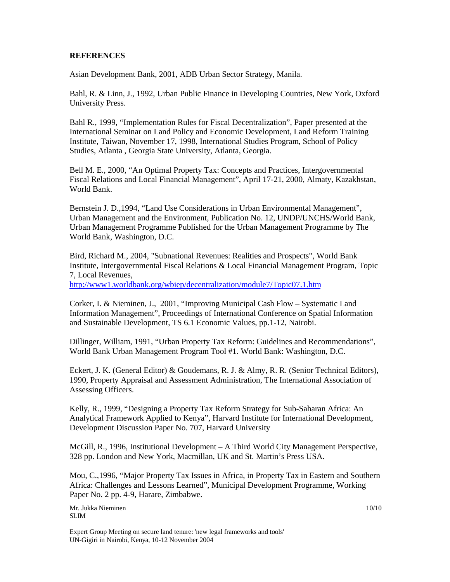### **REFERENCES**

Asian Development Bank, 2001, ADB Urban Sector Strategy, Manila.

Bahl, R. & Linn, J., 1992, Urban Public Finance in Developing Countries, New York, Oxford University Press.

Bahl R., 1999, "Implementation Rules for Fiscal Decentralization", Paper presented at the International Seminar on Land Policy and Economic Development, Land Reform Training Institute, Taiwan, November 17, 1998, International Studies Program, School of Policy Studies, Atlanta , Georgia State University, Atlanta, Georgia.

Bell M. E., 2000, "An Optimal Property Tax: Concepts and Practices, Intergovernmental Fiscal Relations and Local Financial Management", April 17-21, 2000, Almaty, Kazakhstan, World Bank.

Bernstein J. D.,1994, "Land Use Considerations in Urban Environmental Management", Urban Management and the Environment, Publication No. 12, UNDP/UNCHS/World Bank, Urban Management Programme Published for the Urban Management Programme by The World Bank, Washington, D.C.

Bird, Richard M., 2004, "Subnational Revenues: Realities and Prospects", World Bank Institute, Intergovernmental Fiscal Relations & Local Financial Management Program, Topic 7, Local Revenues,

<http://www1.worldbank.org/wbiep/decentralization/module7/Topic07.1.htm>

Corker, I. & Nieminen, J., 2001, "Improving Municipal Cash Flow – Systematic Land Information Management", Proceedings of International Conference on Spatial Information and Sustainable Development, TS 6.1 Economic Values, pp.1-12, Nairobi.

Dillinger, William, 1991, "Urban Property Tax Reform: Guidelines and Recommendations", World Bank Urban Management Program Tool #1. World Bank: Washington, D.C.

Eckert, J. K. (General Editor) & Goudemans, R. J. & Almy, R. R. (Senior Technical Editors), 1990, Property Appraisal and Assessment Administration, The International Association of Assessing Officers.

Kelly, R., 1999, "Designing a Property Tax Reform Strategy for Sub-Saharan Africa: An Analytical Framework Applied to Kenya", Harvard Institute for International Development, Development Discussion Paper No. 707, Harvard University

McGill, R., 1996, Institutional Development – A Third World City Management Perspective, 328 pp. London and New York, Macmillan, UK and St. Martin's Press USA.

Mou, C.,1996, "Major Property Tax Issues in Africa, in Property Tax in Eastern and Southern Africa: Challenges and Lessons Learned", Municipal Development Programme, Working Paper No. 2 pp. 4-9, Harare, Zimbabwe.

Expert Group Meeting on secure land tenure: 'new legal frameworks and tools' UN-Gigiri in Nairobi, Kenya, 10-12 November 2004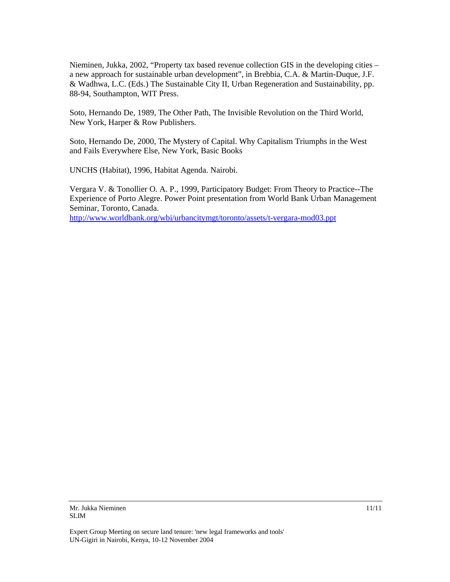Nieminen, Jukka, 2002, "Property tax based revenue collection GIS in the developing cities – a new approach for sustainable urban development", in Brebbia, C.A. & Martin-Duque, J.F. & Wadhwa, L.C. (Eds.) The Sustainable City II, Urban Regeneration and Sustainability, pp. 88-94, Southampton, WIT Press.

Soto, Hernando De, 1989, The Other Path, The Invisible Revolution on the Third World, New York, Harper & Row Publishers.

Soto, Hernando De, 2000, The Mystery of Capital. Why Capitalism Triumphs in the West and Fails Everywhere Else, New York, Basic Books

UNCHS (Habitat), 1996, Habitat Agenda. Nairobi.

Vergara V. & Tonollier O. A. P., 1999, Participatory Budget: From Theory to Practice--The Experience of Porto Alegre. Power Point presentation from World Bank Urban Management Seminar, Toronto, Canada.

<http://www.worldbank.org/wbi/urbancitymgt/toronto/assets/t-vergara-mod03.ppt>